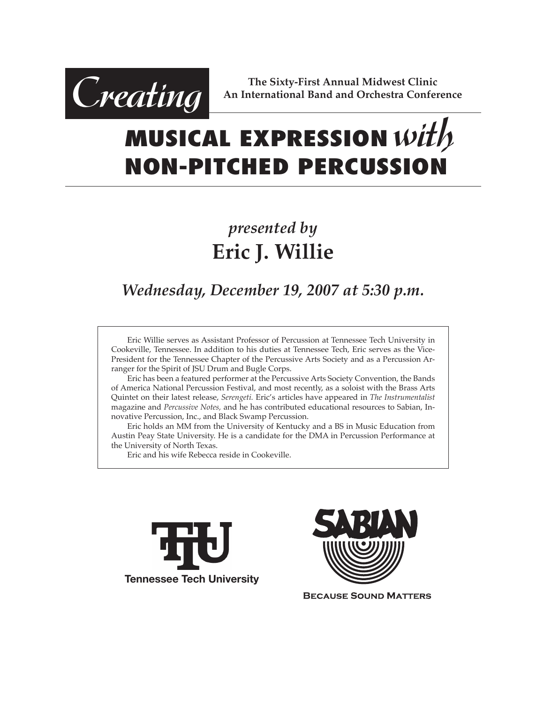

**The Sixty-First Annual Midwest Clinic An International Band and Orchestra Conference**

# **MUSICAL EXPRESSION** *with* **NON-PITCHED PERCUSSION**

## *presented by* **Eric J. Willie**

### *Wednesday, December 19, 2007 at 5:30 p.m.*

 Eric Willie serves as Assistant Professor of Percussion at Tennessee Tech University in Cookeville, Tennessee. In addition to his duties at Tennessee Tech, Eric serves as the Vice-President for the Tennessee Chapter of the Percussive Arts Society and as a Percussion Arranger for the Spirit of JSU Drum and Bugle Corps.

 Eric has been a featured performer at the Percussive Arts Society Convention, the Bands of America National Percussion Festival, and most recently, as a soloist with the Brass Arts Quintet on their latest release, *Serengeti.* Eric's articles have appeared in *The Instrumentalist* magazine and *Percussive Notes,* and he has contributed educational resources to Sabian, Innovative Percussion, Inc., and Black Swamp Percussion.

 Eric holds an MM from the University of Kentucky and a BS in Music Education from Austin Peay State University. He is a candidate for the DMA in Percussion Performance at the University of North Texas.

 Eric and his wife Rebecca reside in Cookeville.





**BECAUSE SOUND MATTERS**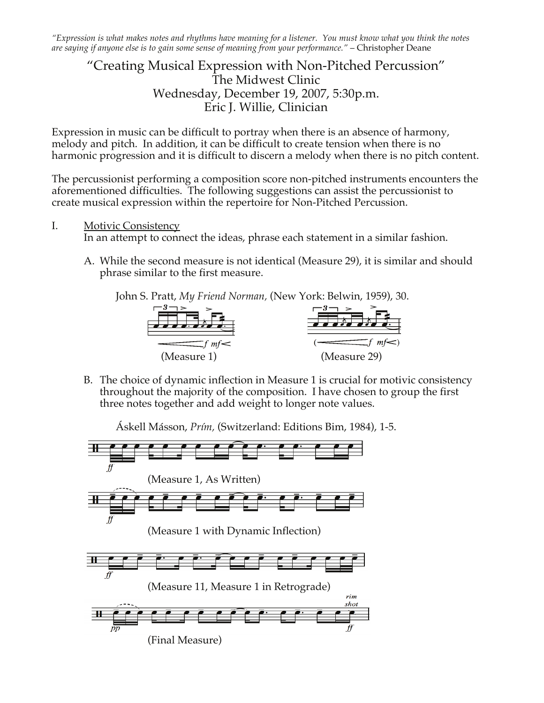"Expression is what makes notes and rhythms have meaning for a listener. You must know what you think the notes *are saying if anyone else is to gain some sense of meaning from your performance."* – Christopher Deane

#### "Creating Musical Expression with Non-Pitched Percussion" The Midwest Clinic Wednesday, December 19, 2007, 5:30p.m. Eric J. Willie, Clinician

Expression in music can be difficult to portray when there is an absence of harmony, melody and pitch. In addition, it can be difficult to create tension when there is no harmonic progression and it is difficult to discern a melody when there is no pitch content.

The percussionist performing a composition score non-pitched instruments encounters the aforementioned difficulties. The following suggestions can assist the percussionist to create musical expression within the repertoire for Non-Pitched Percussion.

I. Motivic Consistency

In an attempt to connect the ideas, phrase each statement in a similar fashion.

A. While the second measure is not identical (Measure 29), it is similar and should phrase similar to the first measure.

John S. Pratt, *My Friend Norman,* (New York: Belwin, 1959), 30.



B. The choice of dynamic inflection in Measure 1 is crucial for motivic consistency throughout the majority of the composition. I have chosen to group the first three notes together and add weight to longer note values.

Áskell Másson, *Prím,* (Switzerland: Editions Bim, 1984), 1-5.

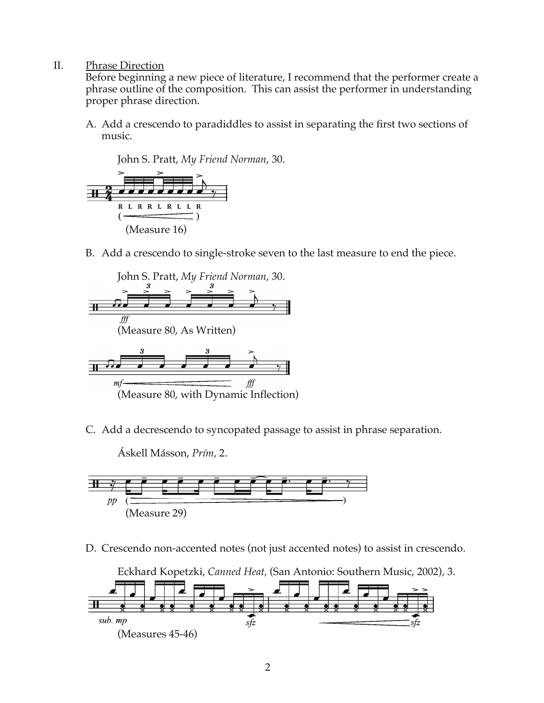II. Phrase Direction

Before beginning a new piece of literature, I recommend that the performer create a phrase outline of the composition. This can assist the performer in understanding proper phrase direction.

A. Add a crescendo to paradiddles to assist in separating the first two sections of music.

John S. Pratt, *My Friend Norman*, 30.



B. Add a crescendo to single-stroke seven to the last measure to end the piece.



C. Add a decrescendo to syncopated passage to assist in phrase separation.

Áskell Másson, *Prím*, 2.



D. Crescendo non-accented notes (not just accented notes) to assist in crescendo.

Eckhard Kopetzki, *Canned Heat,* (San Antonio: Southern Music, 2002), 3.

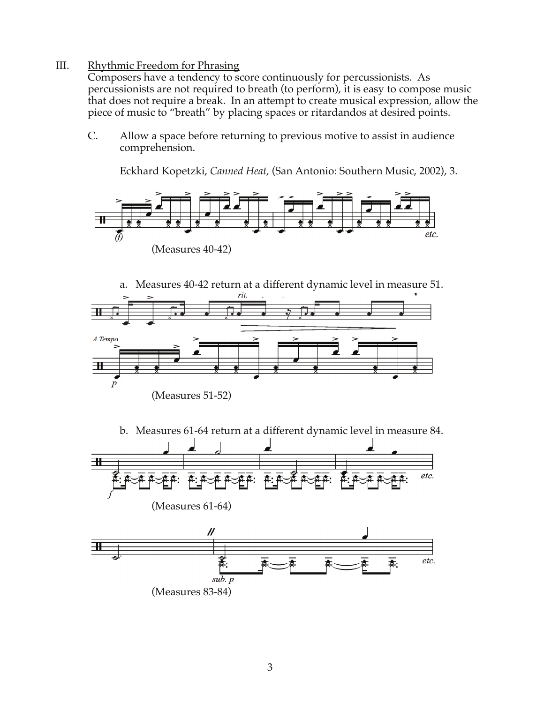#### III. Rhythmic Freedom for Phrasing

Composers have a tendency to score continuously for percussionists. As percussionists are not required to breath (to perform), it is easy to compose music that does not require a break. In an attempt to create musical expression, allow the piece of music to "breath" by placing spaces or ritardandos at desired points.

C. Allow a space before returning to previous motive to assist in audience comprehension.

Eckhard Kopetzki, *Canned Heat,* (San Antonio: Southern Music, 2002), 3.





b. Measures 61-64 return at a different dynamic level in measure 84.

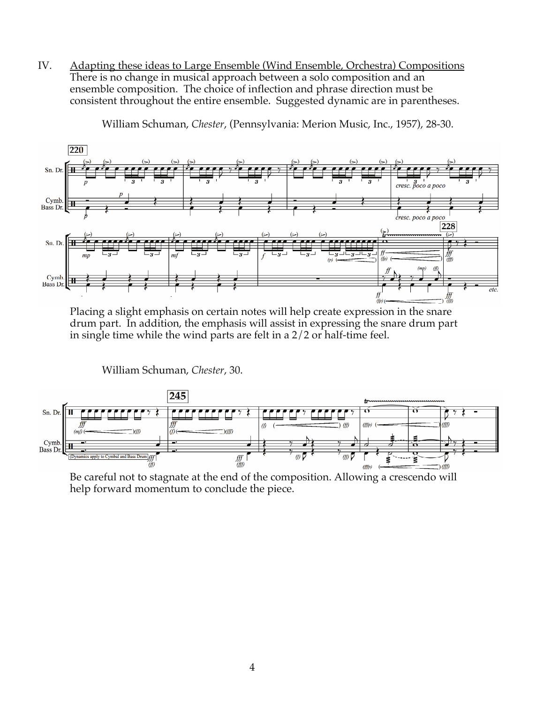IV. Adapting these ideas to Large Ensemble (Wind Ensemble, Orchestra) Compositions There is no change in musical approach between a solo composition and an ensemble composition. The choice of inflection and phrase direction must be consistent throughout the entire ensemble. Suggested dynamic are in parentheses.



William Schuman, *Chester*, (Pennsylvania: Merion Music, Inc., 1957), 28-30.

Placing a slight emphasis on certain notes will help create expression in the snare drum part. In addition, the emphasis will assist in expressing the snare drum part in single time while the wind parts are felt in a 2/2 or half-time feel.

William Schuman, *Chester*, 30.



Be careful not to stagnate at the end of the composition. Allowing a crescendo will help forward momentum to conclude the piece.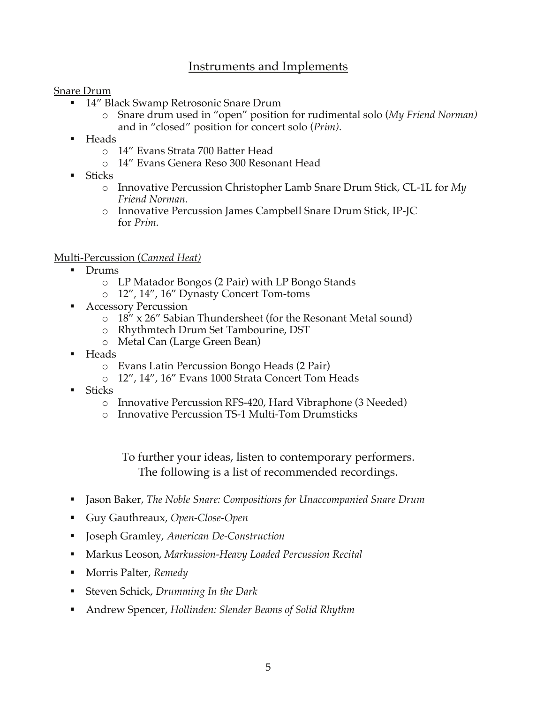#### Instruments and Implements

Snare Drum

- <sup>14"</sup> Black Swamp Retrosonic Snare Drum
	- o Snare drum used in "open" position for rudimental solo (*My Friend Norman)* and in "closed" position for concert solo (*Prim)*.
- Heads
	- o 14" Evans Strata 700 Batter Head
	- o 14" Evans Genera Reso 300 Resonant Head
- **Sticks** 
	- o Innovative Percussion Christopher Lamb Snare Drum Stick, CL-1L for *My Friend Norman.*
	- o Innovative Percussion James Campbell Snare Drum Stick, IP-JC for *Prim.*

#### Multi-Percussion (*Canned Heat)*

- Drums
	- o LP Matador Bongos (2 Pair) with LP Bongo Stands
	- o 12", 14", 16" Dynasty Concert Tom-toms
- Accessory Percussion
	- o 18" x 26" Sabian Thundersheet (for the Resonant Metal sound)
	- o Rhythmtech Drum Set Tambourine, DST
	- o Metal Can (Large Green Bean)
- Heads
	- o Evans Latin Percussion Bongo Heads (2 Pair)
	- o 12", 14", 16" Evans 1000 Strata Concert Tom Heads
- **Sticks** 
	- o Innovative Percussion RFS-420, Hard Vibraphone (3 Needed)
	- o Innovative Percussion TS-1 Multi-Tom Drumsticks

To further your ideas, listen to contemporary performers. The following is a list of recommended recordings.

- Jason Baker, *The Noble Snare: Compositions for Unaccompanied Snare Drum*
- Guy Gauthreaux, *Open-Close-Open*
- Joseph Gramley, *American De-Construction*
- Markus Leoson, *Markussion-Heavy Loaded Percussion Recital*
- Morris Palter, *Remedy*
- Steven Schick, *Drumming In the Dark*
- Andrew Spencer, *Hollinden: Slender Beams of Solid Rhythm*